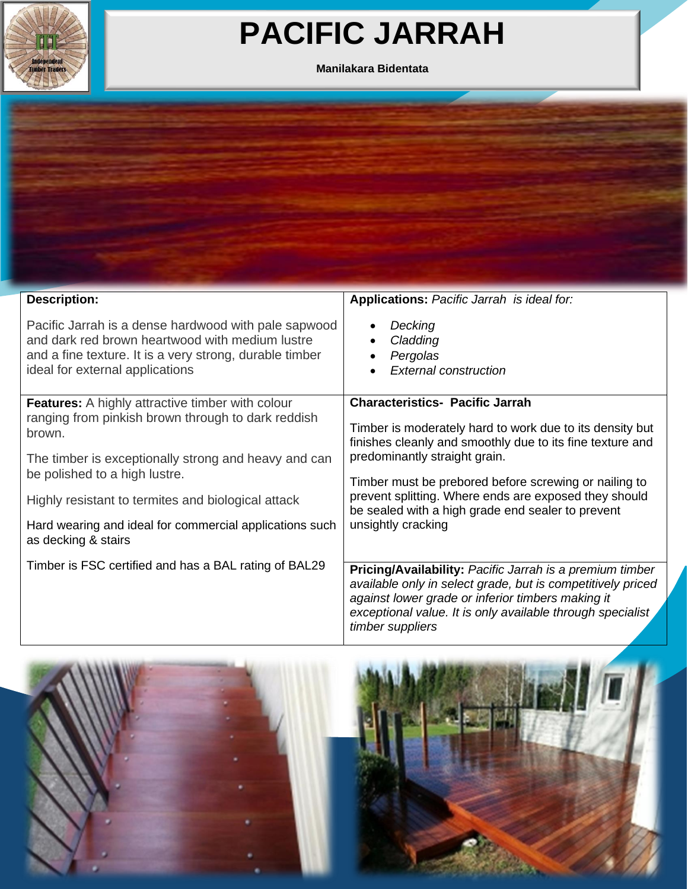

## **PACIFIC JARRAH**

## **Manilakara Bidentata**



| <b>Description:</b>                                                                                                                                                                                                                                                                                                               | Applications: Pacific Jarrah is ideal for:                                                                                                                                                                                                                                                                                                                                                    |  |  |  |
|-----------------------------------------------------------------------------------------------------------------------------------------------------------------------------------------------------------------------------------------------------------------------------------------------------------------------------------|-----------------------------------------------------------------------------------------------------------------------------------------------------------------------------------------------------------------------------------------------------------------------------------------------------------------------------------------------------------------------------------------------|--|--|--|
| Pacific Jarrah is a dense hardwood with pale sapwood<br>and dark red brown heartwood with medium lustre<br>and a fine texture. It is a very strong, durable timber<br>ideal for external applications                                                                                                                             | Decking<br>Cladding<br>Pergolas<br><b>External construction</b>                                                                                                                                                                                                                                                                                                                               |  |  |  |
| <b>Features:</b> A highly attractive timber with colour<br>ranging from pinkish brown through to dark reddish<br>brown.<br>The timber is exceptionally strong and heavy and can<br>be polished to a high lustre.<br>Highly resistant to termites and biological attack<br>Hard wearing and ideal for commercial applications such | <b>Characteristics- Pacific Jarrah</b><br>Timber is moderately hard to work due to its density but<br>finishes cleanly and smoothly due to its fine texture and<br>predominantly straight grain.<br>Timber must be prebored before screwing or nailing to<br>prevent splitting. Where ends are exposed they should<br>be sealed with a high grade end sealer to prevent<br>unsightly cracking |  |  |  |
| as decking & stairs                                                                                                                                                                                                                                                                                                               |                                                                                                                                                                                                                                                                                                                                                                                               |  |  |  |
| Timber is FSC certified and has a BAL rating of BAL29                                                                                                                                                                                                                                                                             | <b>Pricing/Availability: Pacific Jarrah is a premium timber</b><br>available only in select grade, but is competitively priced<br>against lower grade or inferior timbers making it<br>exceptional value. It is only available through specialist<br>timber suppliers                                                                                                                         |  |  |  |